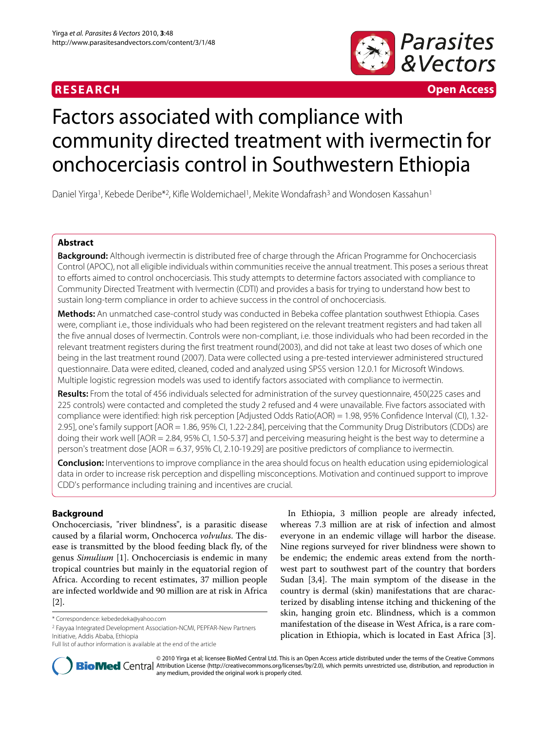## **RESEARCH Open Access**



# Factors associated with compliance with community directed treatment with ivermectin for onchocerciasis control in Southwestern Ethiopia

Daniel Yirga<sup>1</sup>, Kebede Deribe<sup>\*2</sup>, Kifle Woldemichael<sup>1</sup>, Mekite Wondafrash<sup>3</sup> and Wondosen Kassahun<sup>1</sup>

## **Abstract**

**Background:** Although ivermectin is distributed free of charge through the African Programme for Onchocerciasis Control (APOC), not all eligible individuals within communities receive the annual treatment. This poses a serious threat to efforts aimed to control onchocerciasis. This study attempts to determine factors associated with compliance to Community Directed Treatment with Ivermectin (CDTI) and provides a basis for trying to understand how best to sustain long-term compliance in order to achieve success in the control of onchocerciasis.

**Methods:** An unmatched case-control study was conducted in Bebeka coffee plantation southwest Ethiopia. Cases were, compliant i.e., those individuals who had been registered on the relevant treatment registers and had taken all the five annual doses of Ivermectin. Controls were non-compliant, i.e. those individuals who had been recorded in the relevant treatment registers during the first treatment round(2003), and did not take at least two doses of which one being in the last treatment round (2007). Data were collected using a pre-tested interviewer administered structured questionnaire. Data were edited, cleaned, coded and analyzed using SPSS version 12.0.1 for Microsoft Windows. Multiple logistic regression models was used to identify factors associated with compliance to ivermectin.

**Results:** From the total of 456 individuals selected for administration of the survey questionnaire, 450(225 cases and 225 controls) were contacted and completed the study 2 refused and 4 were unavailable. Five factors associated with compliance were identified: high risk perception [Adjusted Odds Ratio(AOR) = 1.98, 95% Confidence Interval (CI), 1.32- 2.95], one's family support [AOR = 1.86, 95% CI, 1.22-2.84], perceiving that the Community Drug Distributors (CDDs) are doing their work well [AOR = 2.84, 95% CI, 1.50-5.37] and perceiving measuring height is the best way to determine a person's treatment dose [AOR = 6.37, 95% CI, 2.10-19.29] are positive predictors of compliance to ivermectin.

**Conclusion:** Interventions to improve compliance in the area should focus on health education using epidemiological data in order to increase risk perception and dispelling misconceptions. Motivation and continued support to improve CDD's performance including training and incentives are crucial.

## **Background**

Onchocerciasis, "river blindness", is a parasitic disease caused by a filarial worm, Onchocerca *volvulus*. The disease is transmitted by the blood feeding black fly, of the genus *Simulium* [[1\]](#page-9-0). Onchocerciasis is endemic in many tropical countries but mainly in the equatorial region of Africa. According to recent estimates, 37 million people are infected worldwide and 90 million are at risk in Africa [[2\]](#page-9-1).

In Ethiopia, 3 million people are already infected, whereas 7.3 million are at risk of infection and almost everyone in an endemic village will harbor the disease. Nine regions surveyed for river blindness were shown to be endemic; the endemic areas extend from the northwest part to southwest part of the country that borders Sudan [\[3](#page-9-2)[,4](#page-9-3)]. The main symptom of the disease in the country is dermal (skin) manifestations that are characterized by disabling intense itching and thickening of the skin, hanging groin etc. Blindness, which is a common manifestation of the disease in West Africa, is a rare complication in Ethiopia, which is located in East Africa [\[3](#page-9-2)].



© 2010 Yirga et al; licensee BioMed Central Ltd. This is an Open Access article distributed under the terms of the Creative Commons **BioMed** Central Attribution License (http://creativecommons.org/licenses/by/2.0), which permits unrestricted use, distribution, and reproduction in any medium, provided the original work is properly cited.

<sup>\*</sup> Correspondence: kebededeka@yahoo.com

<sup>2</sup> Fayyaa Integrated Development Association-NCMI, PEPFAR-New Partners Initiative, Addis Ababa, Ethiopia

Full list of author information is available at the end of the article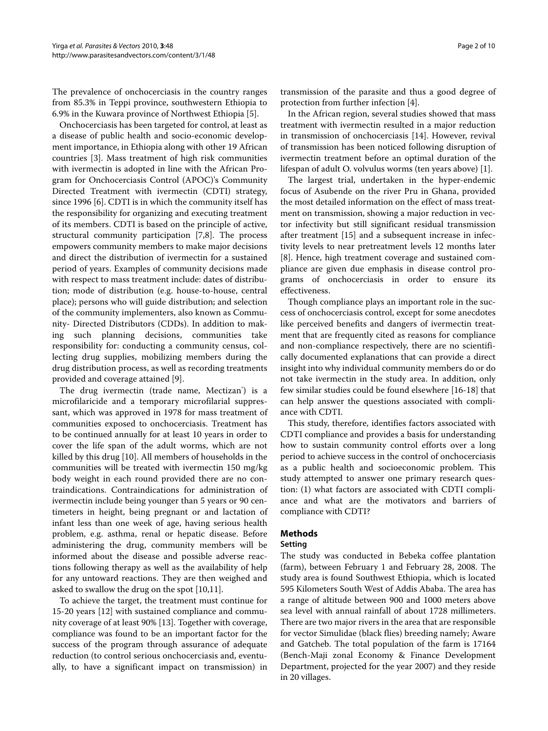The prevalence of onchocerciasis in the country ranges from 85.3% in Teppi province, southwestern Ethiopia to 6.9% in the Kuwara province of Northwest Ethiopia [\[5\]](#page-9-4).

Onchocerciasis has been targeted for control, at least as a disease of public health and socio-economic development importance, in Ethiopia along with other 19 African countries [[3\]](#page-9-2). Mass treatment of high risk communities with ivermectin is adopted in line with the African Program for Onchocerciasis Control (APOC)'s Community Directed Treatment with ivermectin (CDTI) strategy, since 1996 [[6\]](#page-9-5). CDTI is in which the community itself has the responsibility for organizing and executing treatment of its members. CDTI is based on the principle of active, structural community participation [[7](#page-9-6),[8\]](#page-9-7). The process empowers community members to make major decisions and direct the distribution of ivermectin for a sustained period of years. Examples of community decisions made with respect to mass treatment include: dates of distribution; mode of distribution (e.g. house-to-house, central place); persons who will guide distribution; and selection of the community implementers, also known as Community- Directed Distributors (CDDs). In addition to making such planning decisions, communities take responsibility for: conducting a community census, collecting drug supplies, mobilizing members during the drug distribution process, as well as recording treatments provided and coverage attained [[9\]](#page-9-8).

The drug ivermectin (trade name, Mectizan<sup>®</sup>) is a microfilaricide and a temporary microfilarial suppressant, which was approved in 1978 for mass treatment of communities exposed to onchocerciasis. Treatment has to be continued annually for at least 10 years in order to cover the life span of the adult worms, which are not killed by this drug [[10](#page-9-9)]. All members of households in the communities will be treated with ivermectin 150 mg/kg body weight in each round provided there are no contraindications. Contraindications for administration of ivermectin include being younger than 5 years or 90 centimeters in height, being pregnant or and lactation of infant less than one week of age, having serious health problem, e.g. asthma, renal or hepatic disease. Before administering the drug, community members will be informed about the disease and possible adverse reactions following therapy as well as the availability of help for any untoward reactions. They are then weighed and asked to swallow the drug on the spot [[10](#page-9-9),[11\]](#page-9-10).

To achieve the target, the treatment must continue for 15-20 years [[12\]](#page-9-11) with sustained compliance and community coverage of at least 90% [[13\]](#page-9-12). Together with coverage, compliance was found to be an important factor for the success of the program through assurance of adequate reduction (to control serious onchocerciasis and, eventually, to have a significant impact on transmission) in

transmission of the parasite and thus a good degree of protection from further infection [[4\]](#page-9-3).

In the African region, several studies showed that mass treatment with ivermectin resulted in a major reduction in transmission of onchocerciasis [[14](#page-9-13)]. However, revival of transmission has been noticed following disruption of ivermectin treatment before an optimal duration of the lifespan of adult O. volvulus worms (ten years above) [\[1\]](#page-9-0).

The largest trial, undertaken in the hyper-endemic focus of Asubende on the river Pru in Ghana, provided the most detailed information on the effect of mass treatment on transmission, showing a major reduction in vector infectivity but still significant residual transmission after treatment [\[15\]](#page-9-14) and a subsequent increase in infectivity levels to near pretreatment levels 12 months later [[8\]](#page-9-7). Hence, high treatment coverage and sustained compliance are given due emphasis in disease control programs of onchocerciasis in order to ensure its effectiveness.

Though compliance plays an important role in the success of onchocerciasis control, except for some anecdotes like perceived benefits and dangers of ivermectin treatment that are frequently cited as reasons for compliance and non-compliance respectively, there are no scientifically documented explanations that can provide a direct insight into why individual community members do or do not take ivermectin in the study area. In addition, only few similar studies could be found elsewhere [\[16](#page-9-15)-[18\]](#page-9-16) that can help answer the questions associated with compliance with CDTI.

This study, therefore, identifies factors associated with CDTI compliance and provides a basis for understanding how to sustain community control efforts over a long period to achieve success in the control of onchocerciasis as a public health and socioeconomic problem. This study attempted to answer one primary research question: (1) what factors are associated with CDTI compliance and what are the motivators and barriers of compliance with CDTI?

## **Methods**

## **Setting**

The study was conducted in Bebeka coffee plantation (farm), between February 1 and February 28, 2008. The study area is found Southwest Ethiopia, which is located 595 Kilometers South West of Addis Ababa. The area has a range of altitude between 900 and 1000 meters above sea level with annual rainfall of about 1728 millimeters. There are two major rivers in the area that are responsible for vector Simulidae (black flies) breeding namely; Aware and Gatcheb. The total population of the farm is 17164 (Bench-Maji zonal Economy & Finance Development Department, projected for the year 2007) and they reside in 20 villages.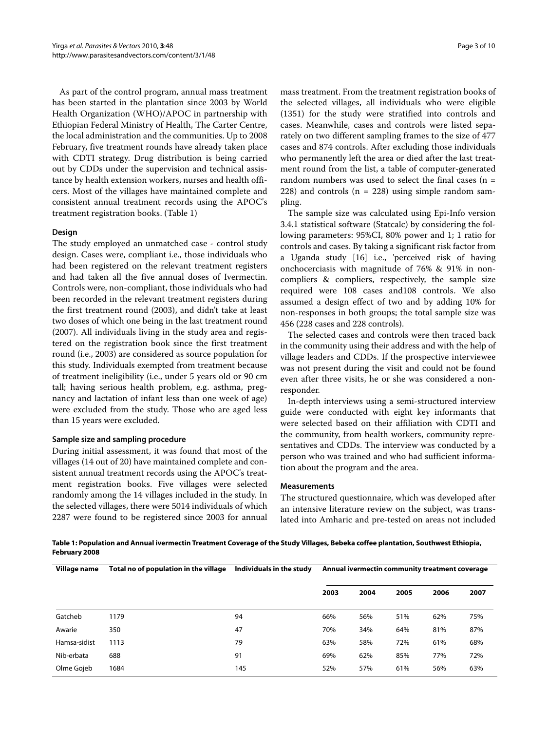As part of the control program, annual mass treatment has been started in the plantation since 2003 by World Health Organization (WHO)/APOC in partnership with Ethiopian Federal Ministry of Health, The Carter Centre, the local administration and the communities. Up to 2008 February, five treatment rounds have already taken place with CDTI strategy. Drug distribution is being carried out by CDDs under the supervision and technical assistance by health extension workers, nurses and health officers. Most of the villages have maintained complete and consistent annual treatment records using the APOC's treatment registration books. (Table 1)

#### **Design**

The study employed an unmatched case - control study design. Cases were, compliant i.e., those individuals who had been registered on the relevant treatment registers and had taken all the five annual doses of Ivermectin. Controls were, non-compliant, those individuals who had been recorded in the relevant treatment registers during the first treatment round (2003), and didn't take at least two doses of which one being in the last treatment round (2007). All individuals living in the study area and registered on the registration book since the first treatment round (i.e., 2003) are considered as source population for this study. Individuals exempted from treatment because of treatment ineligibility (i.e., under 5 years old or 90 cm tall; having serious health problem, e.g. asthma, pregnancy and lactation of infant less than one week of age) were excluded from the study. Those who are aged less than 15 years were excluded.

## **Sample size and sampling procedure**

During initial assessment, it was found that most of the villages (14 out of 20) have maintained complete and consistent annual treatment records using the APOC's treatment registration books. Five villages were selected randomly among the 14 villages included in the study. In the selected villages, there were 5014 individuals of which 2287 were found to be registered since 2003 for annual

mass treatment. From the treatment registration books of the selected villages, all individuals who were eligible (1351) for the study were stratified into controls and cases. Meanwhile, cases and controls were listed separately on two different sampling frames to the size of 477 cases and 874 controls. After excluding those individuals who permanently left the area or died after the last treatment round from the list, a table of computer-generated random numbers was used to select the final cases ( $n =$ 228) and controls  $(n = 228)$  using simple random sampling.

The sample size was calculated using Epi-Info version 3.4.1 statistical software (Statcalc) by considering the following parameters: 95%CI, 80% power and 1; 1 ratio for controls and cases. By taking a significant risk factor from a Uganda study [\[16](#page-9-15)] i.e., 'perceived risk of having onchocerciasis with magnitude of 76% & 91% in noncompliers & compliers, respectively, the sample size required were 108 cases and108 controls. We also assumed a design effect of two and by adding 10% for non-responses in both groups; the total sample size was 456 (228 cases and 228 controls).

The selected cases and controls were then traced back in the community using their address and with the help of village leaders and CDDs. If the prospective interviewee was not present during the visit and could not be found even after three visits, he or she was considered a nonresponder.

In-depth interviews using a semi-structured interview guide were conducted with eight key informants that were selected based on their affiliation with CDTI and the community, from health workers, community representatives and CDDs. The interview was conducted by a person who was trained and who had sufficient information about the program and the area.

#### **Measurements**

The structured questionnaire, which was developed after an intensive literature review on the subject, was translated into Amharic and pre-tested on areas not included

**Table 1: Population and Annual ivermectin Treatment Coverage of the Study Villages, Bebeka coffee plantation, Southwest Ethiopia, February 2008**

| Village name | Total no of population in the village | Individuals in the study | Annual ivermectin community treatment coverage |      |      |      |      |
|--------------|---------------------------------------|--------------------------|------------------------------------------------|------|------|------|------|
|              |                                       |                          | 2003                                           | 2004 | 2005 | 2006 | 2007 |
| Gatcheb      | 1179                                  | 94                       | 66%                                            | 56%  | 51%  | 62%  | 75%  |
| Awarie       | 350                                   | 47                       | 70%                                            | 34%  | 64%  | 81%  | 87%  |
| Hamsa-sidist | 1113                                  | 79                       | 63%                                            | 58%  | 72%  | 61%  | 68%  |
| Nib-erbata   | 688                                   | 91                       | 69%                                            | 62%  | 85%  | 77%  | 72%  |
| Olme Gojeb   | 1684                                  | 145                      | 52%                                            | 57%  | 61%  | 56%  | 63%  |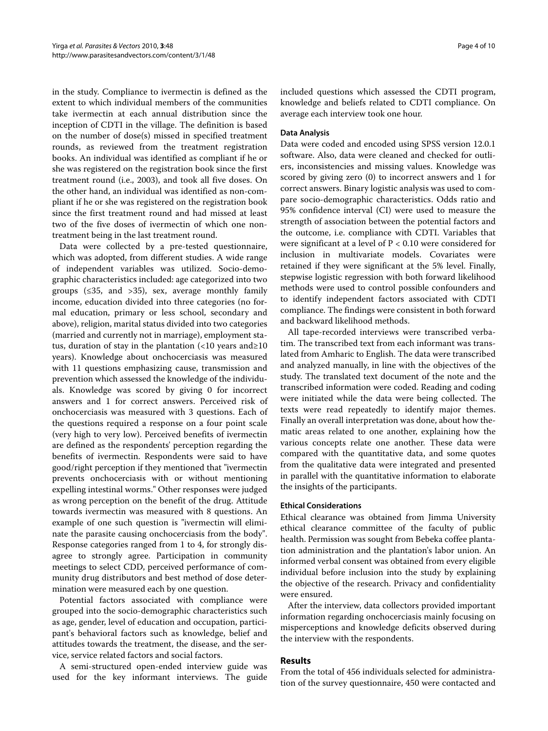in the study. Compliance to ivermectin is defined as the extent to which individual members of the communities take ivermectin at each annual distribution since the inception of CDTI in the village. The definition is based on the number of dose(s) missed in specified treatment rounds, as reviewed from the treatment registration books. An individual was identified as compliant if he or she was registered on the registration book since the first treatment round (i.e., 2003), and took all five doses. On the other hand, an individual was identified as non-compliant if he or she was registered on the registration book since the first treatment round and had missed at least two of the five doses of ivermectin of which one nontreatment being in the last treatment round.

Data were collected by a pre-tested questionnaire, which was adopted, from different studies. A wide range of independent variables was utilized. Socio-demographic characteristics included: age categorized into two groups ( $\leq$ 35, and  $>$ 35), sex, average monthly family income, education divided into three categories (no formal education, primary or less school, secondary and above), religion, marital status divided into two categories (married and currently not in marriage), employment status, duration of stay in the plantation  $\left($  <10 years and≥10 years). Knowledge about onchocerciasis was measured with 11 questions emphasizing cause, transmission and prevention which assessed the knowledge of the individuals. Knowledge was scored by giving 0 for incorrect answers and 1 for correct answers. Perceived risk of onchocerciasis was measured with 3 questions. Each of the questions required a response on a four point scale (very high to very low). Perceived benefits of ivermectin are defined as the respondents' perception regarding the benefits of ivermectin. Respondents were said to have good/right perception if they mentioned that "ivermectin prevents onchocerciasis with or without mentioning expelling intestinal worms." Other responses were judged as wrong perception on the benefit of the drug. Attitude towards ivermectin was measured with 8 questions. An example of one such question is "ivermectin will eliminate the parasite causing onchocerciasis from the body". Response categories ranged from 1 to 4, for strongly disagree to strongly agree. Participation in community meetings to select CDD, perceived performance of community drug distributors and best method of dose determination were measured each by one question.

Potential factors associated with compliance were grouped into the socio-demographic characteristics such as age, gender, level of education and occupation, participant's behavioral factors such as knowledge, belief and attitudes towards the treatment, the disease, and the service, service related factors and social factors.

A semi-structured open-ended interview guide was used for the key informant interviews. The guide included questions which assessed the CDTI program, knowledge and beliefs related to CDTI compliance. On average each interview took one hour.

#### **Data Analysis**

Data were coded and encoded using SPSS version 12.0.1 software. Also, data were cleaned and checked for outliers, inconsistencies and missing values. Knowledge was scored by giving zero (0) to incorrect answers and 1 for correct answers. Binary logistic analysis was used to compare socio-demographic characteristics. Odds ratio and 95% confidence interval (CI) were used to measure the strength of association between the potential factors and the outcome, i.e. compliance with CDTI. Variables that were significant at a level of P < 0.10 were considered for inclusion in multivariate models. Covariates were retained if they were significant at the 5% level. Finally, stepwise logistic regression with both forward likelihood methods were used to control possible confounders and to identify independent factors associated with CDTI compliance. The findings were consistent in both forward and backward likelihood methods.

All tape-recorded interviews were transcribed verbatim. The transcribed text from each informant was translated from Amharic to English. The data were transcribed and analyzed manually, in line with the objectives of the study. The translated text document of the note and the transcribed information were coded. Reading and coding were initiated while the data were being collected. The texts were read repeatedly to identify major themes. Finally an overall interpretation was done, about how thematic areas related to one another, explaining how the various concepts relate one another. These data were compared with the quantitative data, and some quotes from the qualitative data were integrated and presented in parallel with the quantitative information to elaborate the insights of the participants.

#### **Ethical Considerations**

Ethical clearance was obtained from Jimma University ethical clearance committee of the faculty of public health. Permission was sought from Bebeka coffee plantation administration and the plantation's labor union. An informed verbal consent was obtained from every eligible individual before inclusion into the study by explaining the objective of the research. Privacy and confidentiality were ensured.

After the interview, data collectors provided important information regarding onchocerciasis mainly focusing on misperceptions and knowledge deficits observed during the interview with the respondents.

## **Results**

From the total of 456 individuals selected for administration of the survey questionnaire, 450 were contacted and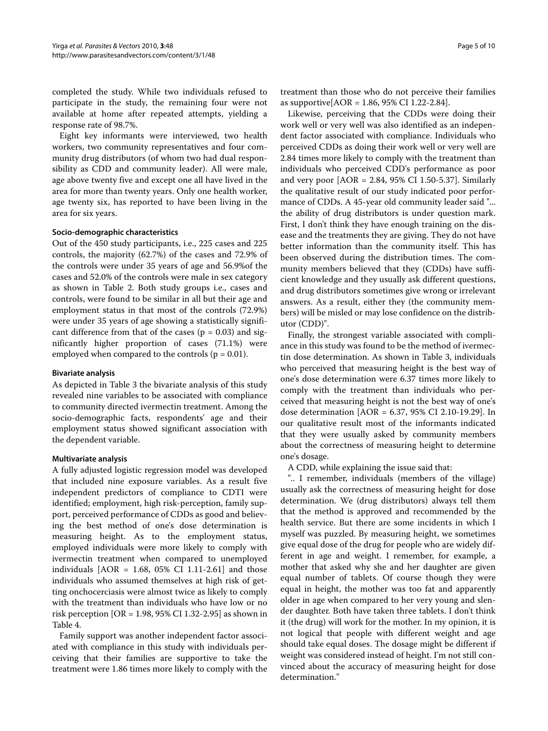completed the study. While two individuals refused to participate in the study, the remaining four were not available at home after repeated attempts, yielding a response rate of 98.7%.

Eight key informants were interviewed, two health workers, two community representatives and four community drug distributors (of whom two had dual responsibility as CDD and community leader). All were male, age above twenty five and except one all have lived in the area for more than twenty years. Only one health worker, age twenty six, has reported to have been living in the area for six years.

#### **Socio-demographic characteristics**

Out of the 450 study participants, i.e., 225 cases and 225 controls, the majority (62.7%) of the cases and 72.9% of the controls were under 35 years of age and 56.9%of the cases and 52.0% of the controls were male in sex category as shown in Table 2. Both study groups i.e., cases and controls, were found to be similar in all but their age and employment status in that most of the controls (72.9%) were under 35 years of age showing a statistically significant difference from that of the cases ( $p = 0.03$ ) and significantly higher proportion of cases (71.1%) were employed when compared to the controls  $(p = 0.01)$ .

## **Bivariate analysis**

As depicted in Table 3 the bivariate analysis of this study revealed nine variables to be associated with compliance to community directed ivermectin treatment. Among the socio-demographic facts, respondents' age and their employment status showed significant association with the dependent variable.

## **Multivariate analysis**

A fully adjusted logistic regression model was developed that included nine exposure variables. As a result five independent predictors of compliance to CDTI were identified; employment, high risk-perception, family support, perceived performance of CDDs as good and believing the best method of one's dose determination is measuring height. As to the employment status, employed individuals were more likely to comply with ivermectin treatment when compared to unemployed individuals  $[AOR = 1.68, 05\% \text{ CI } 1.11-2.61]$  and those individuals who assumed themselves at high risk of getting onchocerciasis were almost twice as likely to comply with the treatment than individuals who have low or no risk perception [OR = 1.98, 95% CI 1.32-2.95] as shown in Table 4.

Family support was another independent factor associated with compliance in this study with individuals perceiving that their families are supportive to take the treatment were 1.86 times more likely to comply with the

treatment than those who do not perceive their families as supportive[AOR = 1.86, 95% CI 1.22-2.84].

Likewise, perceiving that the CDDs were doing their work well or very well was also identified as an independent factor associated with compliance. Individuals who perceived CDDs as doing their work well or very well are 2.84 times more likely to comply with the treatment than individuals who perceived CDD's performance as poor and very poor  $[AOR = 2.84, 95\% \text{ CI } 1.50-5.37]$ . Similarly the qualitative result of our study indicated poor performance of CDDs. A 45-year old community leader said "... the ability of drug distributors is under question mark. First, I don't think they have enough training on the disease and the treatments they are giving. They do not have better information than the community itself. This has been observed during the distribution times. The community members believed that they (CDDs) have sufficient knowledge and they usually ask different questions, and drug distributors sometimes give wrong or irrelevant answers. As a result, either they (the community members) will be misled or may lose confidence on the distributor (CDD)".

Finally, the strongest variable associated with compliance in this study was found to be the method of ivermectin dose determination. As shown in Table 3, individuals who perceived that measuring height is the best way of one's dose determination were 6.37 times more likely to comply with the treatment than individuals who perceived that measuring height is not the best way of one's dose determination [AOR = 6.37, 95% CI 2.10-19.29]. In our qualitative result most of the informants indicated that they were usually asked by community members about the correctness of measuring height to determine one's dosage.

A CDD, while explaining the issue said that:

".. I remember, individuals (members of the village) usually ask the correctness of measuring height for dose determination. We (drug distributors) always tell them that the method is approved and recommended by the health service. But there are some incidents in which I myself was puzzled. By measuring height, we sometimes give equal dose of the drug for people who are widely different in age and weight. I remember, for example, a mother that asked why she and her daughter are given equal number of tablets. Of course though they were equal in height, the mother was too fat and apparently older in age when compared to her very young and slender daughter. Both have taken three tablets. I don't think it (the drug) will work for the mother. In my opinion, it is not logical that people with different weight and age should take equal doses. The dosage might be different if weight was considered instead of height. I'm not still convinced about the accuracy of measuring height for dose determination."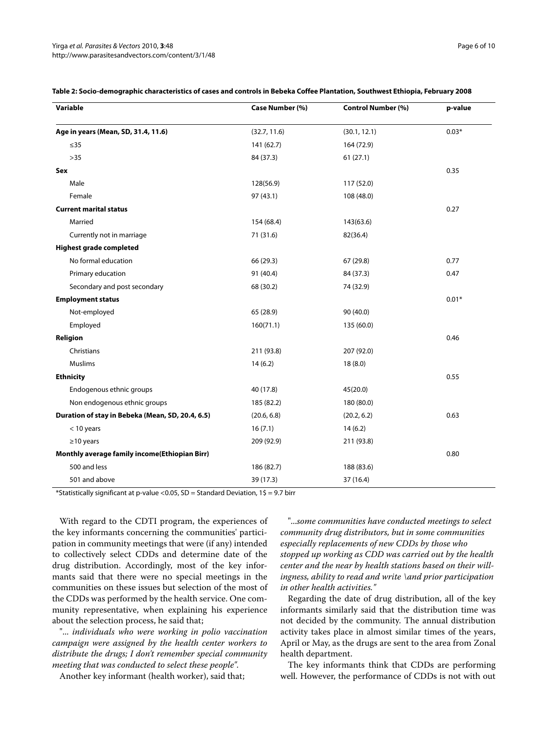| Variable                                         | Case Number (%) | <b>Control Number (%)</b> | p-value |
|--------------------------------------------------|-----------------|---------------------------|---------|
| Age in years (Mean, SD, 31.4, 11.6)              | (32.7, 11.6)    | (30.1, 12.1)              | $0.03*$ |
| $\leq$ 35                                        | 141 (62.7)      | 164 (72.9)                |         |
| $>35$                                            | 84 (37.3)       | 61(27.1)                  |         |
| Sex                                              |                 |                           | 0.35    |
| Male                                             | 128(56.9)       | 117 (52.0)                |         |
| Female                                           | 97 (43.1)       | 108 (48.0)                |         |
| <b>Current marital status</b>                    |                 |                           | 0.27    |
| Married                                          | 154 (68.4)      | 143(63.6)                 |         |
| Currently not in marriage                        | 71 (31.6)       | 82(36.4)                  |         |
| <b>Highest grade completed</b>                   |                 |                           |         |
| No formal education                              | 66 (29.3)       | 67 (29.8)                 | 0.77    |
| Primary education                                | 91 (40.4)       | 84 (37.3)                 | 0.47    |
| Secondary and post secondary                     | 68 (30.2)       | 74 (32.9)                 |         |
| <b>Employment status</b>                         |                 |                           | $0.01*$ |
| Not-employed                                     | 65 (28.9)       | 90 (40.0)                 |         |
| Employed                                         | 160(71.1)       | 135 (60.0)                |         |
| Religion                                         |                 |                           | 0.46    |
| Christians                                       | 211 (93.8)      | 207 (92.0)                |         |
| Muslims                                          | 14(6.2)         | 18(8.0)                   |         |
| <b>Ethnicity</b>                                 |                 |                           | 0.55    |
| Endogenous ethnic groups                         | 40 (17.8)       | 45(20.0)                  |         |
| Non endogenous ethnic groups                     | 185 (82.2)      | 180 (80.0)                |         |
| Duration of stay in Bebeka (Mean, SD, 20.4, 6.5) | (20.6, 6.8)     | (20.2, 6.2)               | 0.63    |
| $<$ 10 years                                     | 16(7.1)         | 14(6.2)                   |         |
| $\geq$ 10 years                                  | 209 (92.9)      | 211 (93.8)                |         |
| Monthly average family income(Ethiopian Birr)    |                 |                           | 0.80    |
| 500 and less                                     | 186 (82.7)      | 188 (83.6)                |         |
| 501 and above                                    | 39 (17.3)       | 37 (16.4)                 |         |

|  | Table 2: Socio-demographic characteristics of cases and controls in Bebeka Coffee Plantation, Southwest Ethiopia, February 2008 |  |
|--|---------------------------------------------------------------------------------------------------------------------------------|--|
|--|---------------------------------------------------------------------------------------------------------------------------------|--|

\*Statistically significant at p-value <0.05, SD = Standard Deviation, 1\$ = 9.7 birr

With regard to the CDTI program, the experiences of the key informants concerning the communities' participation in community meetings that were (if any) intended to collectively select CDDs and determine date of the drug distribution. Accordingly, most of the key informants said that there were no special meetings in the communities on these issues but selection of the most of the CDDs was performed by the health service. One community representative, when explaining his experience about the selection process, he said that;

"... *individuals who were working in polio vaccination campaign were assigned by the health center workers to distribute the drugs; I don't remember special community meeting that was conducted to select these people"*.

Another key informant (health worker), said that;

"...*some communities have conducted meetings to select community drug distributors, but in some communities especially replacements of new CDDs by those who stopped up working as CDD was carried out by the health center and the near by health stations based on their willingness, ability to read and write \and prior participation in other health activities."*

Regarding the date of drug distribution, all of the key informants similarly said that the distribution time was not decided by the community. The annual distribution activity takes place in almost similar times of the years, April or May, as the drugs are sent to the area from Zonal health department.

The key informants think that CDDs are performing well. However, the performance of CDDs is not with out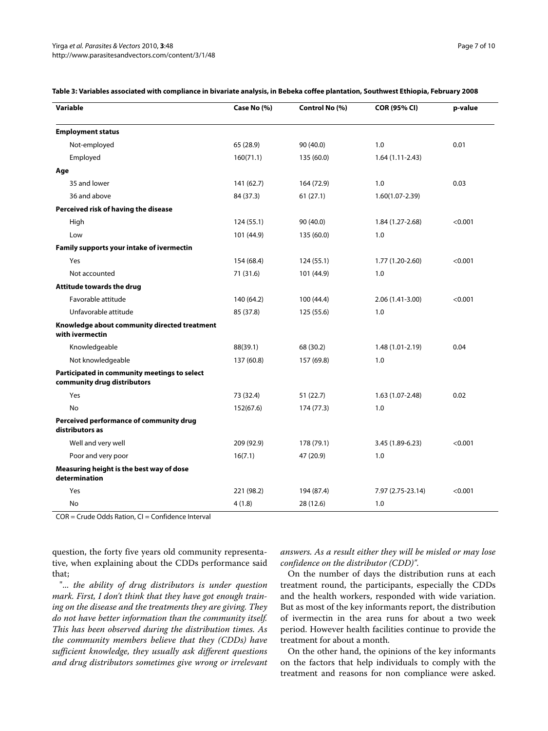#### **Table 3: Variables associated with compliance in bivariate analysis, in Bebeka coffee plantation, Southwest Ethiopia, February 2008**

| Variable                                                                    | Case No (%) | Control No (%) | <b>COR (95% CI)</b> | p-value |
|-----------------------------------------------------------------------------|-------------|----------------|---------------------|---------|
| <b>Employment status</b>                                                    |             |                |                     |         |
| Not-employed                                                                | 65 (28.9)   | 90 (40.0)      | 1.0                 | 0.01    |
| Employed                                                                    | 160(71.1)   | 135 (60.0)     | $1.64(1.11-2.43)$   |         |
| Age                                                                         |             |                |                     |         |
| 35 and lower                                                                | 141 (62.7)  | 164 (72.9)     | 1.0                 | 0.03    |
| 36 and above                                                                | 84 (37.3)   | 61(27.1)       | $1.60(1.07 - 2.39)$ |         |
| Perceived risk of having the disease                                        |             |                |                     |         |
| High                                                                        | 124 (55.1)  | 90 (40.0)      | 1.84 (1.27-2.68)    | < 0.001 |
| Low                                                                         | 101 (44.9)  | 135 (60.0)     | 1.0                 |         |
| Family supports your intake of ivermectin                                   |             |                |                     |         |
| Yes                                                                         | 154 (68.4)  | 124 (55.1)     | 1.77 (1.20-2.60)    | < 0.001 |
| Not accounted                                                               | 71 (31.6)   | 101 (44.9)     | 1.0                 |         |
| Attitude towards the drug                                                   |             |                |                     |         |
| Favorable attitude                                                          | 140 (64.2)  | 100 (44.4)     | 2.06 (1.41-3.00)    | < 0.001 |
| Unfavorable attitude                                                        | 85 (37.8)   | 125 (55.6)     | 1.0                 |         |
| Knowledge about community directed treatment<br>with ivermectin             |             |                |                     |         |
| Knowledgeable                                                               | 88(39.1)    | 68 (30.2)      | 1.48 (1.01-2.19)    | 0.04    |
| Not knowledgeable                                                           | 137 (60.8)  | 157 (69.8)     | 1.0                 |         |
| Participated in community meetings to select<br>community drug distributors |             |                |                     |         |
| Yes                                                                         | 73 (32.4)   | 51(22.7)       | 1.63 (1.07-2.48)    | 0.02    |
| No                                                                          | 152(67.6)   | 174 (77.3)     | 1.0                 |         |
| Perceived performance of community drug<br>distributors as                  |             |                |                     |         |
| Well and very well                                                          | 209 (92.9)  | 178 (79.1)     | 3.45 (1.89-6.23)    | < 0.001 |
| Poor and very poor                                                          | 16(7.1)     | 47 (20.9)      | 1.0                 |         |
| Measuring height is the best way of dose<br>determination                   |             |                |                     |         |
| Yes                                                                         | 221 (98.2)  | 194 (87.4)     | 7.97 (2.75-23.14)   | < 0.001 |
| No                                                                          | 4(1.8)      | 28 (12.6)      | 1.0                 |         |

COR = Crude Odds Ration, CI = Confidence Interval

question, the forty five years old community representative, when explaining about the CDDs performance said that;

"... *the ability of drug distributors is under question mark. First, I don't think that they have got enough training on the disease and the treatments they are giving. They do not have better information than the community itself. This has been observed during the distribution times. As the community members believe that they (CDDs) have sufficient knowledge, they usually ask different questions and drug distributors sometimes give wrong or irrelevant* *answers. As a result either they will be misled or may lose confidence on the distributor (CDD)"*.

On the number of days the distribution runs at each treatment round, the participants, especially the CDDs and the health workers, responded with wide variation. But as most of the key informants report, the distribution of ivermectin in the area runs for about a two week period. However health facilities continue to provide the treatment for about a month.

On the other hand, the opinions of the key informants on the factors that help individuals to comply with the treatment and reasons for non compliance were asked.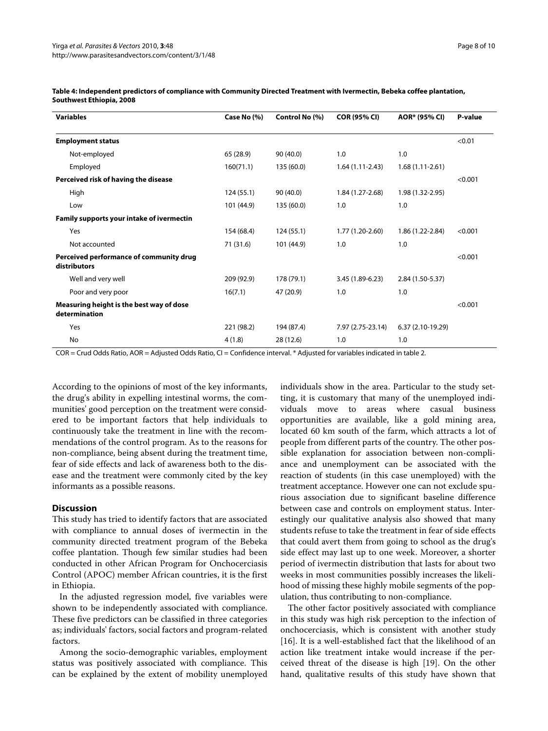| <b>Variables</b>                                          | Case No (%) | Control No (%) | <b>COR (95% CI)</b> | AOR* (95% CI)     | P-value |
|-----------------------------------------------------------|-------------|----------------|---------------------|-------------------|---------|
| <b>Employment status</b>                                  |             |                |                     |                   | < 0.01  |
| Not-employed                                              | 65 (28.9)   | 90 (40.0)      | 1.0                 | 1.0               |         |
| Employed                                                  | 160(71.1)   | 135 (60.0)     | $1.64(1.11-2.43)$   | $1.68(1.11-2.61)$ |         |
| Perceived risk of having the disease                      |             |                |                     |                   | < 0.001 |
| High                                                      | 124(55.1)   | 90 (40.0)      | 1.84 (1.27-2.68)    | 1.98 (1.32-2.95)  |         |
| Low                                                       | 101 (44.9)  | 135 (60.0)     | 1.0                 | 1.0               |         |
| Family supports your intake of ivermectin                 |             |                |                     |                   |         |
| Yes                                                       | 154 (68.4)  | 124(55.1)      | 1.77 (1.20-2.60)    | 1.86 (1.22-2.84)  | < 0.001 |
| Not accounted                                             | 71 (31.6)   | 101 (44.9)     | 1.0                 | 1.0               |         |
| Perceived performance of community drug<br>distributors   |             |                |                     |                   | < 0.001 |
| Well and very well                                        | 209 (92.9)  | 178 (79.1)     | 3.45 (1.89-6.23)    | 2.84 (1.50-5.37)  |         |
| Poor and very poor                                        | 16(7.1)     | 47 (20.9)      | 1.0                 | 1.0               |         |
| Measuring height is the best way of dose<br>determination |             |                |                     |                   | < 0.001 |
| Yes                                                       | 221 (98.2)  | 194 (87.4)     | 7.97 (2.75-23.14)   | 6.37 (2.10-19.29) |         |
| No                                                        | 4(1.8)      | 28 (12.6)      | 1.0                 | 1.0               |         |

**Table 4: Independent predictors of compliance with Community Directed Treatment with Ivermectin, Bebeka coffee plantation, Southwest Ethiopia, 2008**

COR = Crud Odds Ratio, AOR = Adjusted Odds Ratio, CI = Confidence interval. \* Adjusted for variables indicated in table 2.

According to the opinions of most of the key informants, the drug's ability in expelling intestinal worms, the communities' good perception on the treatment were considered to be important factors that help individuals to continuously take the treatment in line with the recommendations of the control program. As to the reasons for non-compliance, being absent during the treatment time, fear of side effects and lack of awareness both to the disease and the treatment were commonly cited by the key informants as a possible reasons.

#### **Discussion**

This study has tried to identify factors that are associated with compliance to annual doses of ivermectin in the community directed treatment program of the Bebeka coffee plantation. Though few similar studies had been conducted in other African Program for Onchocerciasis Control (APOC) member African countries, it is the first in Ethiopia.

In the adjusted regression model, five variables were shown to be independently associated with compliance. These five predictors can be classified in three categories as; individuals' factors, social factors and program-related factors.

Among the socio-demographic variables, employment status was positively associated with compliance. This can be explained by the extent of mobility unemployed individuals show in the area. Particular to the study setting, it is customary that many of the unemployed individuals move to areas where casual business opportunities are available, like a gold mining area, located 60 km south of the farm, which attracts a lot of people from different parts of the country. The other possible explanation for association between non-compliance and unemployment can be associated with the reaction of students (in this case unemployed) with the treatment acceptance. However one can not exclude spurious association due to significant baseline difference between case and controls on employment status. Interestingly our qualitative analysis also showed that many students refuse to take the treatment in fear of side effects that could avert them from going to school as the drug's side effect may last up to one week. Moreover, a shorter period of ivermectin distribution that lasts for about two weeks in most communities possibly increases the likelihood of missing these highly mobile segments of the population, thus contributing to non-compliance.

The other factor positively associated with compliance in this study was high risk perception to the infection of onchocerciasis, which is consistent with another study [[16\]](#page-9-15). It is a well-established fact that the likelihood of an action like treatment intake would increase if the perceived threat of the disease is high [[19](#page-9-17)]. On the other hand, qualitative results of this study have shown that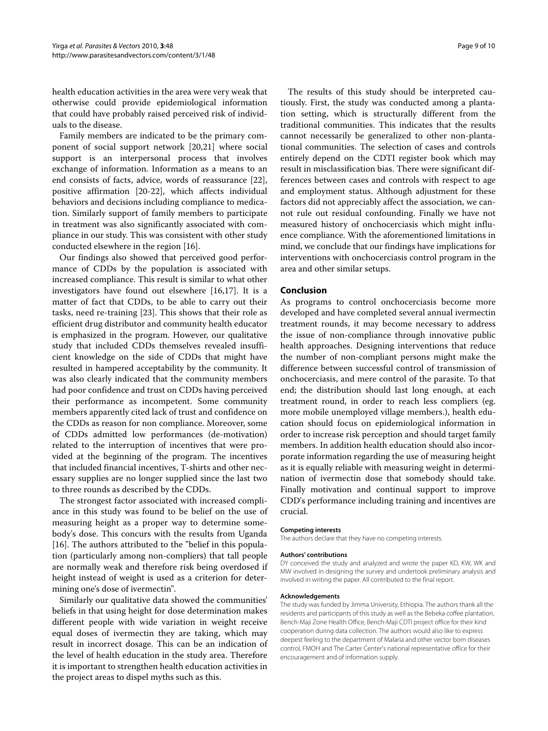health education activities in the area were very weak that otherwise could provide epidemiological information that could have probably raised perceived risk of individuals to the disease.

Family members are indicated to be the primary component of social support network [\[20](#page-9-18)[,21](#page-9-19)] where social support is an interpersonal process that involves exchange of information. Information as a means to an end consists of facts, advice, words of reassurance [\[22](#page-9-20)], positive affirmation [[20](#page-9-18)-[22\]](#page-9-20), which affects individual behaviors and decisions including compliance to medication. Similarly support of family members to participate in treatment was also significantly associated with compliance in our study. This was consistent with other study conducted elsewhere in the region [\[16](#page-9-15)].

Our findings also showed that perceived good performance of CDDs by the population is associated with increased compliance. This result is similar to what other investigators have found out elsewhere [[16,](#page-9-15)[17\]](#page-9-21). It is a matter of fact that CDDs, to be able to carry out their tasks, need re-training [\[23](#page-9-22)]. This shows that their role as efficient drug distributor and community health educator is emphasized in the program. However, our qualitative study that included CDDs themselves revealed insufficient knowledge on the side of CDDs that might have resulted in hampered acceptability by the community. It was also clearly indicated that the community members had poor confidence and trust on CDDs having perceived their performance as incompetent. Some community members apparently cited lack of trust and confidence on the CDDs as reason for non compliance. Moreover, some of CDDs admitted low performances (de-motivation) related to the interruption of incentives that were provided at the beginning of the program. The incentives that included financial incentives, T-shirts and other necessary supplies are no longer supplied since the last two to three rounds as described by the CDDs.

The strongest factor associated with increased compliance in this study was found to be belief on the use of measuring height as a proper way to determine somebody's dose. This concurs with the results from Uganda [[16\]](#page-9-15). The authors attributed to the "belief in this population (particularly among non-compliers) that tall people are normally weak and therefore risk being overdosed if height instead of weight is used as a criterion for determining one's dose of ivermectin".

Similarly our qualitative data showed the communities' beliefs in that using height for dose determination makes different people with wide variation in weight receive equal doses of ivermectin they are taking, which may result in incorrect dosage. This can be an indication of the level of health education in the study area. Therefore it is important to strengthen health education activities in the project areas to dispel myths such as this.

The results of this study should be interpreted cautiously. First, the study was conducted among a plantation setting, which is structurally different from the traditional communities. This indicates that the results cannot necessarily be generalized to other non-plantational communities. The selection of cases and controls entirely depend on the CDTI register book which may result in misclassification bias. There were significant differences between cases and controls with respect to age and employment status. Although adjustment for these factors did not appreciably affect the association, we cannot rule out residual confounding. Finally we have not measured history of onchocerciasis which might influence compliance. With the aforementioned limitations in mind, we conclude that our findings have implications for interventions with onchocerciasis control program in the area and other similar setups.

## **Conclusion**

As programs to control onchocerciasis become more developed and have completed several annual ivermectin treatment rounds, it may become necessary to address the issue of non-compliance through innovative public health approaches. Designing interventions that reduce the number of non-compliant persons might make the difference between successful control of transmission of onchocerciasis, and mere control of the parasite. To that end; the distribution should last long enough, at each treatment round, in order to reach less compliers (eg. more mobile unemployed village members.), health education should focus on epidemiological information in order to increase risk perception and should target family members. In addition health education should also incorporate information regarding the use of measuring height as it is equally reliable with measuring weight in determination of ivermectin dose that somebody should take. Finally motivation and continual support to improve CDD's performance including training and incentives are crucial.

#### **Competing interests**

The authors declare that they have no competing interests.

#### **Authors' contributions**

DY conceived the study and analyzed and wrote the paper KD, KW, WK and MW involved in designing the survey and undertook preliminary analysis and involved in writing the paper. All contributed to the final report.

#### **Acknowledgements**

The study was funded by Jimma University, Ethiopia. The authors thank all the residents and participants of this study as well as the Bebeka coffee plantation, Bench-Maji Zone Health Office, Bench-Maji CDTI project office for their kind cooperation during data collection. The authors would also like to express deepest feeling to the department of Malaria and other vector born diseases control, FMOH and The Carter Center's national representative office for their encouragement and of information supply.